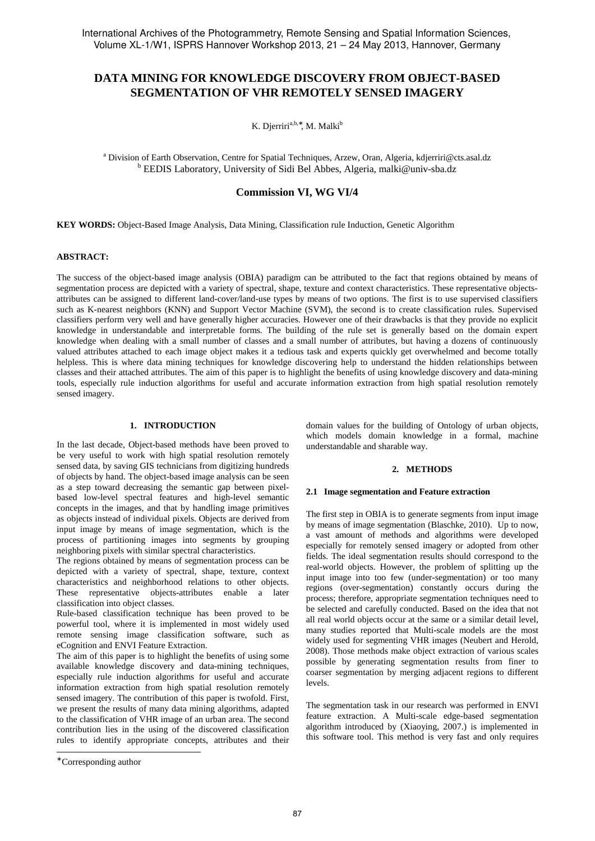# **DATA MINING FOR KNOWLEDGE DISCOVERY FROM OBJECT-BASED SEGMENTATION OF VHR REMOTELY SENSED IMAGERY**

K. Djerriri<sup>a,b,\*</sup>, M. Malki<sup>b</sup>

<sup>a</sup> Division of Earth Observation, Centre for Spatial Techniques, Arzew, Oran, Algeria, kdjerriri@cts.asal.dz <sup>b</sup> EEDIS Laboratory, University of Sidi Bel Abbes, Algeria, malki@univ-sba.dz

**Commission VI, WG VI/4**

**KEY WORDS:** Object-Based Image Analysis, Data Mining, Classification rule Induction, Genetic Algorithm

### **ABSTRACT:**

The success of the object-based image analysis (OBIA) paradigm can be attributed to the fact that regions obtained by means of segmentation process are depicted with a variety of spectral, shape, texture and context characteristics. These representative objectsattributes can be assigned to different land-cover/land-use types by means of two options. The first is to use supervised classifiers such as K-nearest neighbors (KNN) and Support Vector Machine (SVM), the second is to create classification rules. Supervised classifiers perform very well and have generally higher accuracies. However one of their drawbacks is that they provide no explicit knowledge in understandable and interpretable forms. The building of the rule set is generally based on the domain expert knowledge when dealing with a small number of classes and a small number of attributes, but having a dozens of continuously valued attributes attached to each image object makes it a tedious task and experts quickly get overwhelmed and become totally helpless. This is where data mining techniques for knowledge discovering help to understand the hidden relationships between classes and their attached attributes. The aim of this paper is to highlight the benefits of using knowledge discovery and data-mining tools, especially rule induction algorithms for useful and accurate information extraction from high spatial resolution remotely sensed imagery.

### **1. INTRODUCTION**

In the last decade, Object-based methods have been proved to be very useful to work with high spatial resolution remotely sensed data, by saving GIS technicians from digitizing hundreds of objects by hand. The object-based image analysis can be seen as a step toward decreasing the semantic gap between pixelbased low-level spectral features and high-level semantic concepts in the images, and that by handling image primitives as objects instead of individual pixels. Objects are derived from input image by means of image segmentation, which is the process of partitioning images into segments by grouping neighboring pixels with similar spectral characteristics.

The regions obtained by means of segmentation process can be depicted with a variety of spectral, shape, texture, context characteristics and neighborhood relations to other objects. These representative objects-attributes enable a later classification into object classes.

Rule-based classification technique has been proved to be powerful tool, where it is implemented in most widely used remote sensing image classification software, such as eCognition and ENVI Feature Extraction.

The aim of this paper is to highlight the benefits of using some available knowledge discovery and data-mining techniques, especially rule induction algorithms for useful and accurate information extraction from high spatial resolution remotely sensed imagery. The contribution of this paper is twofold. First, we present the results of many data mining algorithms, adapted to the classification of VHR image of an urban area. The second contribution lies in the using of the discovered classification rules to identify appropriate concepts, attributes and their

j

domain values for the building of Ontology of urban objects, which models domain knowledge in a formal, machine understandable and sharable way.

# **2. METHODS**

#### **2.1 Image segmentation and Feature extraction**

The first step in OBIA is to generate segments from input image by means of image segmentation (Blaschke, 2010). Up to now, a vast amount of methods and algorithms were developed especially for remotely sensed imagery or adopted from other fields. The ideal segmentation results should correspond to the real-world objects. However, the problem of splitting up the input image into too few (under-segmentation) or too many regions (over-segmentation) constantly occurs during the process; therefore, appropriate segmentation techniques need to be selected and carefully conducted. Based on the idea that not all real world objects occur at the same or a similar detail level, many studies reported that Multi-scale models are the most widely used for segmenting VHR images (Neubert and Herold, 2008). Those methods make object extraction of various scales possible by generating segmentation results from finer to coarser segmentation by merging adjacent regions to different levels.

The segmentation task in our research was performed in ENVI feature extraction. A Multi-scale edge-based segmentation algorithm introduced by (Xiaoying, 2007.) is implemented in this software tool. This method is very fast and only requires

<sup>∗</sup> Corresponding author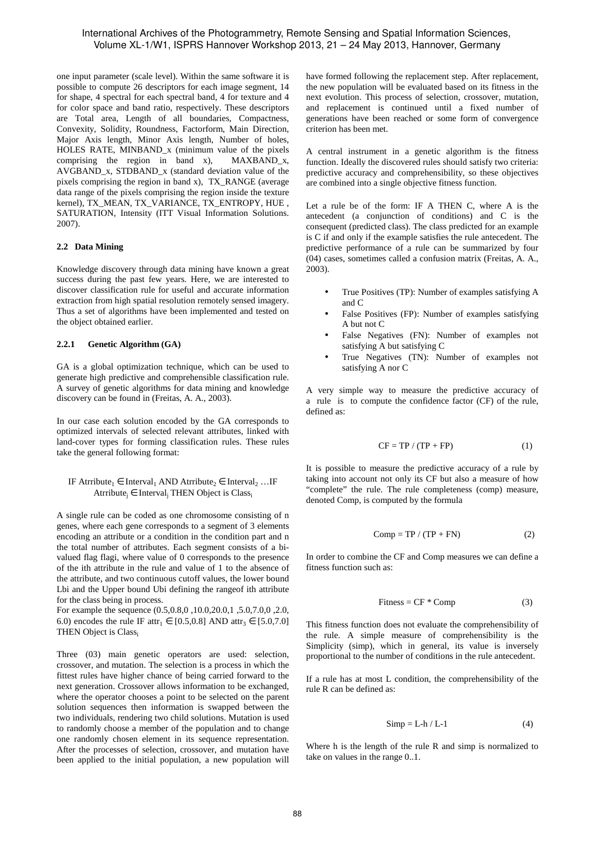# International Archives of the Photogrammetry, Remote Sensing and Spatial Information Sciences, Volume XL-1/W1, ISPRS Hannover Workshop 2013, 21 – 24 May 2013, Hannover, Germany

one input parameter (scale level). Within the same software it is possible to compute 26 descriptors for each image segment, 14 for shape, 4 spectral for each spectral band, 4 for texture and 4 for color space and band ratio, respectively. These descriptors are Total area, Length of all boundaries, Compactness, Convexity, Solidity, Roundness, Factorform, Main Direction, Major Axis length, Minor Axis length, Number of holes, HOLES RATE, MINBAND\_x (minimum value of the pixels comprising the region in band x), MAXBAND\_x, AVGBAND\_x, STDBAND\_x (standard deviation value of the pixels comprising the region in band x), TX\_RANGE (average data range of the pixels comprising the region inside the texture kernel), TX\_MEAN, TX\_VARIANCE, TX\_ENTROPY, HUE , SATURATION, Intensity (ITT Visual Information Solutions. 2007).

# **2.2 Data Mining**

Knowledge discovery through data mining have known a great success during the past few years. Here, we are interested to discover classification rule for useful and accurate information extraction from high spatial resolution remotely sensed imagery. Thus a set of algorithms have been implemented and tested on the object obtained earlier.

# **2.2.1 Genetic Algorithm (GA)**

GA is a global optimization technique, which can be used to generate high predictive and comprehensible classification rule. A survey of genetic algorithms for data mining and knowledge discovery can be found in (Freitas, A. A., 2003).

In our case each solution encoded by the GA corresponds to optimized intervals of selected relevant attributes, linked with land-cover types for forming classification rules. These rules take the general following format:

# IF Atrribute<sub>1</sub>  $\in$  Interval<sub>1</sub> AND Atrribute<sub>2</sub>  $\in$  Interval<sub>2</sub> ...IF Atrribute<sub>j</sub> ∈ Interval<sub>j</sub> THEN Object is Class<sub>i</sub>

A single rule can be coded as one chromosome consisting of n genes, where each gene corresponds to a segment of 3 elements encoding an attribute or a condition in the condition part and n the total number of attributes. Each segment consists of a bivalued flag flagi, where value of 0 corresponds to the presence of the ith attribute in the rule and value of 1 to the absence of the attribute, and two continuous cutoff values, the lower bound Lbi and the Upper bound Ubi defining the rangeof ith attribute for the class being in process.

For example the sequence (0.5,0.8,0 ,10.0,20.0,1 ,5.0,7.0,0 ,2.0, 6.0) encodes the rule IF attr<sub>1</sub>  $\in$  [0.5,0.8] AND attr<sub>3</sub>  $\in$  [5.0,7.0] THEN Object is Class<sup>i</sup>

Three (03) main genetic operators are used: selection, crossover, and mutation. The selection is a process in which the fittest rules have higher chance of being carried forward to the next generation. Crossover allows information to be exchanged, where the operator chooses a point to be selected on the parent solution sequences then information is swapped between the two individuals, rendering two child solutions. Mutation is used to randomly choose a member of the population and to change one randomly chosen element in its sequence representation. After the processes of selection, crossover, and mutation have been applied to the initial population, a new population will have formed following the replacement step. After replacement, the new population will be evaluated based on its fitness in the next evolution. This process of selection, crossover, mutation, and replacement is continued until a fixed number of generations have been reached or some form of convergence criterion has been met.

A central instrument in a genetic algorithm is the fitness function. Ideally the discovered rules should satisfy two criteria: predictive accuracy and comprehensibility, so these objectives are combined into a single objective fitness function.

Let a rule be of the form: IF A THEN C, where A is the antecedent (a conjunction of conditions) and C is the consequent (predicted class). The class predicted for an example is C if and only if the example satisfies the rule antecedent. The predictive performance of a rule can be summarized by four (04) cases, sometimes called a confusion matrix (Freitas, A. A., 2003).

- True Positives (TP): Number of examples satisfying A and C
- False Positives (FP): Number of examples satisfying A but not C
- False Negatives (FN): Number of examples not satisfying A but satisfying C
- True Negatives (TN): Number of examples not satisfying A nor C

A very simple way to measure the predictive accuracy of a rule is to compute the confidence factor (CF) of the rule, defined as:

$$
CF = TP / (TP + FP)
$$
 (1)

It is possible to measure the predictive accuracy of a rule by taking into account not only its CF but also a measure of how "complete" the rule. The rule completeness (comp) measure, denoted Comp, is computed by the formula

$$
Comp = TP / (TP + FN)
$$
 (2)

In order to combine the CF and Comp measures we can define a fitness function such as:

$$
Fitness = CF * Comp
$$
 (3)

This fitness function does not evaluate the comprehensibility of the rule. A simple measure of comprehensibility is the Simplicity (simp), which in general, its value is inversely proportional to the number of conditions in the rule antecedent.

If a rule has at most L condition, the comprehensibility of the rule R can be defined as:

$$
Simp = L-h / L-1
$$
 (4)

Where h is the length of the rule R and simp is normalized to take on values in the range 0..1.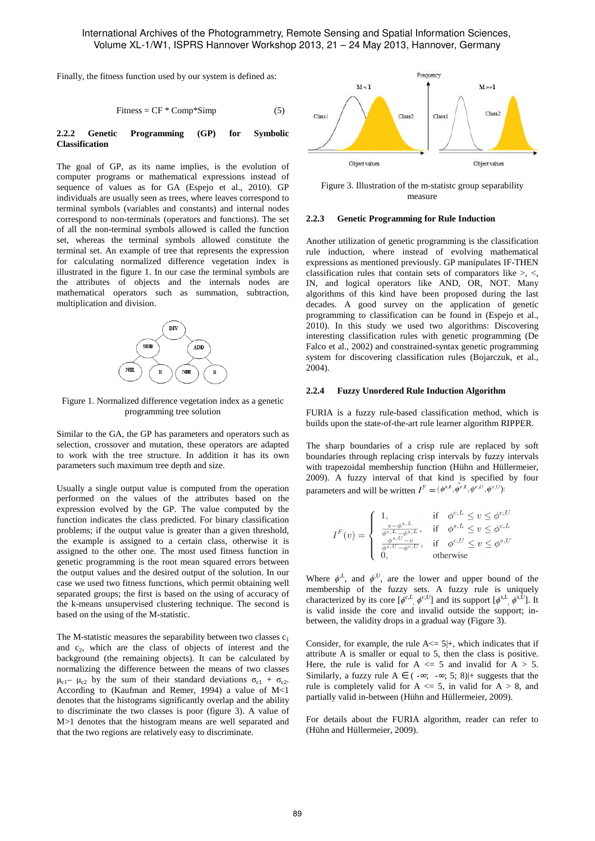Finally, the fitness function used by our system is defined as:

$$
Fitness = CF * Comp * Simp \tag{5}
$$

#### **2.2.2 Genetic Programming (GP) for Symbolic Classification**

The goal of GP, as its name implies, is the evolution of computer programs or mathematical expressions instead of sequence of values as for GA (Espejo et al., 2010). GP individuals are usually seen as trees, where leaves correspond to terminal symbols (variables and constants) and internal nodes correspond to non-terminals (operators and functions). The set of all the non-terminal symbols allowed is called the function set, whereas the terminal symbols allowed constitute the terminal set. An example of tree that represents the expression for calculating normalized difference vegetation index is illustrated in the figure 1. In our case the terminal symbols are the attributes of objects and the internals nodes are mathematical operators such as summation, subtraction, multiplication and division.



Figure 1. Normalized difference vegetation index as a genetic programming tree solution

Similar to the GA, the GP has parameters and operators such as selection, crossover and mutation, these operators are adapted to work with the tree structure. In addition it has its own parameters such maximum tree depth and size.

Usually a single output value is computed from the operation performed on the values of the attributes based on the expression evolved by the GP. The value computed by the function indicates the class predicted. For binary classification problems; if the output value is greater than a given threshold, the example is assigned to a certain class, otherwise it is assigned to the other one. The most used fitness function in genetic programming is the root mean squared errors between the output values and the desired output of the solution. In our case we used two fitness functions, which permit obtaining well separated groups; the first is based on the using of accuracy of the k-means unsupervised clustering technique. The second is based on the using of the M-statistic.

The M-statistic measures the separability between two classes  $c_1$ and  $c_2$ , which are the class of objects of interest and the background (the remaining objects). It can be calculated by normalizing the difference between the means of two classes  $\mu_{c1}$ –  $\mu_{c2}$  by the sum of their standard deviations  $\sigma_{c1} + \sigma_{c2}$ . According to (Kaufman and Remer, 1994) a value of M<1 denotes that the histograms significantly overlap and the ability to discriminate the two classes is poor (figure 3). A value of M>1 denotes that the histogram means are well separated and that the two regions are relatively easy to discriminate.



Figure 3. Illustration of the m-statistc group separability measure

### **2.2.3 Genetic Programming for Rule Induction**

Another utilization of genetic programming is the classification rule induction, where instead of evolving mathematical expressions as mentioned previously. GP manipulates IF-THEN classification rules that contain sets of comparators like >, <, IN, and logical operators like AND, OR, NOT. Many algorithms of this kind have been proposed during the last decades. A good survey on the application of genetic programming to classification can be found in (Espejo et al., 2010). In this study we used two algorithms: Discovering interesting classification rules with genetic programming (De Falco et al., 2002) and constrained-syntax genetic programming system for discovering classification rules (Bojarczuk, et al., 2004).

#### **2.2.4 Fuzzy Unordered Rule Induction Algorithm**

FURIA is a fuzzy rule-based classification method, which is builds upon the state-of-the-art rule learner algorithm RIPPER.

The sharp boundaries of a crisp rule are replaced by soft boundaries through replacing crisp intervals by fuzzy intervals with trapezoidal membership function (Hühn and Hüllermeier, 2009). A fuzzy interval of that kind is specified by four parameters and will be written  $I^F = (\phi^{s,L}, \phi^{c,L}, \phi^{c,U}, \phi^{s,U})$ :

$$
I^{F}(v) = \begin{cases} 1, & \text{if } \phi^{c,L} \le v \le \phi^{c,U} \\ \frac{v - \phi^{s,L}}{\phi^{c,L} - \phi^{s,L}}, & \text{if } \phi^{s,L} \le v \le \phi^{c,L} \\ \frac{v}{\phi^{s,U} - \phi^{c,U}}, & \text{if } \phi^{c,U} \le v \le \phi^{s,U} \\ 0, & \text{otherwise} \end{cases}
$$

Where  $\phi^L$ , and  $\phi^U$ , are the lower and upper bound of the membership of the fuzzy sets. A fuzzy rule is uniquely characterized by its core  $[\phi^{c,L}, \phi^{c,U}]$  and its support  $[\phi^{s,L}, \phi^{s,U}]$ . It is valid inside the core and invalid outside the support; inbetween, the validity drops in a gradual way (Figure 3).

Consider, for example, the rule  $A \leq 5|$ +, which indicates that if attribute A is smaller or equal to 5, then the class is positive. Here, the rule is valid for  $A \leq 5$  and invalid for  $A > 5$ . Similarly, a fuzzy rule  $A \in (-\infty, -\infty, 5, 8)$  = suggests that the rule is completely valid for  $A \le 5$ , in valid for  $A > 8$ , and partially valid in-between (Hühn and Hüllermeier, 2009).

For details about the FURIA algorithm, reader can refer to (Hühn and Hüllermeier, 2009).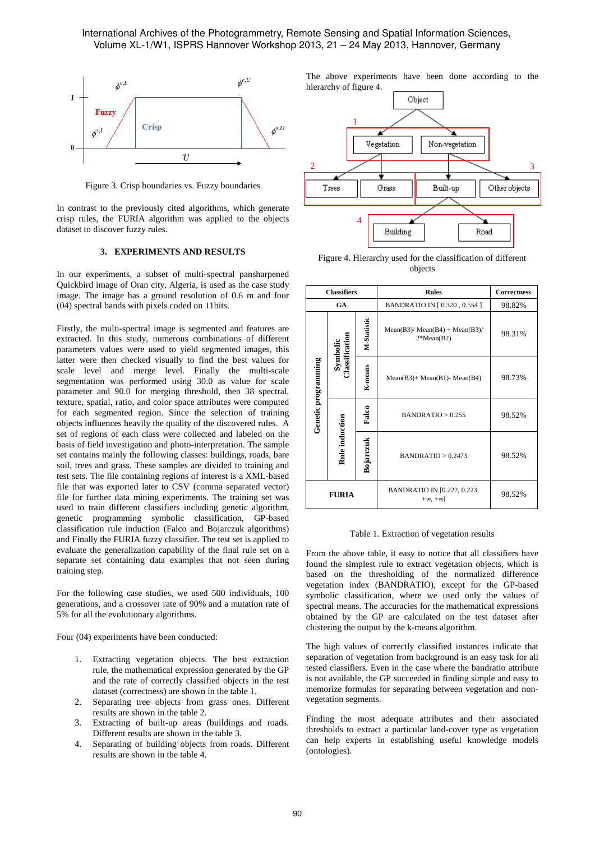

Figure 3. Crisp boundaries vs. Fuzzy boundaries

In contrast to the previously cited algorithms, which generate crisp rules, the FURIA algorithm was applied to the objects dataset to discover fuzzy rules.

### **3. EXPERIMENTS AND RESULTS**

In our experiments, a subset of multi-spectral pansharpened Quickbird image of Oran city, Algeria, is used as the case study image. The image has a ground resolution of 0.6 m and four (04) spectral bands with pixels coded on 11bits.

Firstly, the multi-spectral image is segmented and features are extracted. In this study, numerous combinations of different parameters values were used to yield segmented images, this latter were then checked visually to find the best values for scale level and merge level. Finally the multi-scale segmentation was performed using 30.0 as value for scale parameter and 90.0 for merging threshold, then 38 spectral, texture, spatial, ratio, and color space attributes were computed for each segmented region. Since the selection of training objects influences heavily the quality of the discovered rules. A set of regions of each class were collected and labeled on the basis of field investigation and photo-interpretation. The sample set contains mainly the following classes: buildings, roads, bare soil, trees and grass. These samples are divided to training and test sets. The file containing regions of interest is a XML-based file that was exported later to CSV (comma separated vector) file for further data mining experiments. The training set was used to train different classifiers including genetic algorithm, genetic programming symbolic classification, GP-based classification rule induction (Falco and Bojarczuk algorithms) and Finally the FURIA fuzzy classifier. The test set is applied to evaluate the generalization capability of the final rule set on a separate set containing data examples that not seen during training step.

For the following case studies, we used 500 individuals, 100 generations, and a crossover rate of 90% and a mutation rate of 5% for all the evolutionary algorithms.

Four (04) experiments have been conducted:

- 1. Extracting vegetation objects. The best extraction rule, the mathematical expression generated by the GP and the rate of correctly classified objects in the test dataset (correctness) are shown in the table 1.
- 2. Separating tree objects from grass ones. Different results are shown in the table 2.
- 3. Extracting of built-up areas (buildings and roads. Different results are shown in the table 3.
- 4. Separating of building objects from roads. Different results are shown in the table 4.

The above experiments have been done according to the hierarchy of figure 4.



Figure 4. Hierarchy used for the classification of different objects

| <b>Classifiers</b>  |                                  |             | <b>Rules</b>                                      | Correctness |
|---------------------|----------------------------------|-------------|---------------------------------------------------|-------------|
| GA                  |                                  |             | BANDRATIO IN [0.320, 0.554]                       | 98.82%      |
| Genetic programming | <b>Jassification</b><br>Symbolic | M-Statistic | $Mean(B3)/Mean(B4) + Mean(B3)$<br>$2*Mean(B2)$    | 98.31%      |
|                     |                                  | K-means     | $Mean(B3) + Mean(B1) - Mean(B4)$                  | 98.73%      |
|                     | Rule induction                   | Falco       | BANDRATIO > 0.255                                 | 98.52%      |
|                     |                                  | Bojarczuk   | BANDRATIO > 0,2473                                | 98.52%      |
| <b>FURIA</b>        |                                  |             | BANDRATIO IN [0.222, 0.223,<br>$+\infty, +\infty$ | 98.52%      |

Table 1. Extraction of vegetation results

From the above table, it easy to notice that all classifiers have found the simplest rule to extract vegetation objects, which is based on the thresholding of the normalized difference vegetation index (BANDRATIO), except for the GP-based symbolic classification, where we used only the values of spectral means. The accuracies for the mathematical expressions obtained by the GP are calculated on the test dataset after clustering the output by the k-means algorithm.

The high values of correctly classified instances indicate that separation of vegetation from background is an easy task for all tested classifiers. Even in the case where the bandratio attribute is not available, the GP succeeded in finding simple and easy to memorize formulas for separating between vegetation and nonvegetation segments.

Finding the most adequate attributes and their associated thresholds to extract a particular land-cover type as vegetation can help experts in establishing useful knowledge models (ontologies).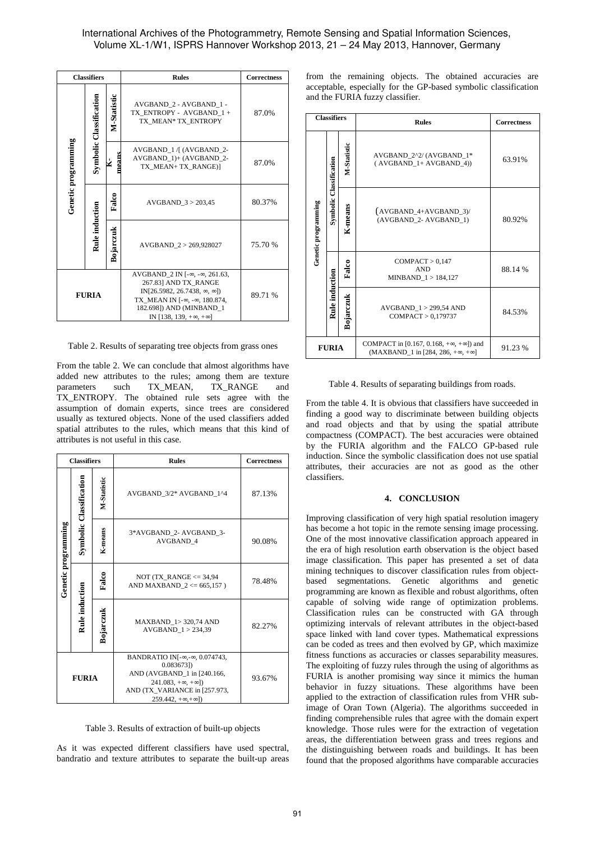# International Archives of the Photogrammetry, Remote Sensing and Spatial Information Sciences, Volume XL-1/W1, ISPRS Hannover Workshop 2013, 21 – 24 May 2013, Hannover, Germany

| <b>Classifiers</b>  |                         |                    | <b>Rules</b>                                                                                                                                                                                                                                       | <b>Correctness</b> |
|---------------------|-------------------------|--------------------|----------------------------------------------------------------------------------------------------------------------------------------------------------------------------------------------------------------------------------------------------|--------------------|
| Genetic programming | Symbolic Classification | <b>M-Statistic</b> | AVGBAND 2 - AVGBAND 1 -<br>TX ENTROPY - AVGBAND 1 +<br>TX MEAN* TX ENTROPY                                                                                                                                                                         | 87.0%              |
|                     |                         | nean<br>⊻          | AVGBAND 1 / (AVGBAND 2-<br>AVGBAND 1)+ (AVGBAND 2-<br>TX MEAN+ TX RANGE)]                                                                                                                                                                          | 87.0%              |
|                     |                         | Falco              | AVGBAND $3 > 203,45$                                                                                                                                                                                                                               | 80.37%             |
|                     | Rule induction          | Bojarczuk          | AVGBAND 2 > 269,928027                                                                                                                                                                                                                             | 75.70 %            |
| <b>FURIA</b>        |                         |                    | AVGBAND $2 \text{ IN } [-\infty, -\infty, 261.63]$ ,<br>267.83] AND TX RANGE<br>IN[26.5982, 26.7438, $\infty$ , $\infty$ ])<br>TX MEAN IN [- $\infty$ , - $\infty$ , 180.874,<br>182.698]) AND (MINBAND 1<br>IN [138, 139, $+\infty$ , $+\infty$ ] | 89.71 %            |

Table 2. Results of separating tree objects from grass ones

From the table 2. We can conclude that almost algorithms have added new attributes to the rules; among them are texture parameters such TX\_MEAN, TX\_RANGE and TX\_ENTROPY. The obtained rule sets agree with the assumption of domain experts, since trees are considered usually as textured objects. None of the used classifiers added spatial attributes to the rules, which means that this kind of attributes is not useful in this case.

| <b>Classifiers</b>  |                         |             | <b>Rules</b>                                                                                                                                                                | <b>Correctness</b> |
|---------------------|-------------------------|-------------|-----------------------------------------------------------------------------------------------------------------------------------------------------------------------------|--------------------|
| Genetic programming | Symbolic Classification | M-Statistic | AVGBAND 3/2* AVGBAND 1^4                                                                                                                                                    | 87.13%             |
|                     |                         | K-means     | 3*AVGBAND 2- AVGBAND 3-<br>AVGBAND 4                                                                                                                                        | 90.08%             |
|                     | Rule induction          | Falco       | NOT (TX RANGE $<=$ 34,94<br>AND MAXBAND $2 \le 665,157$ )                                                                                                                   | 78.48%             |
|                     |                         | Bojarczuk   | <b>MAXBAND 1&gt; 320,74 AND</b><br>$AVGBAND$ 1 > 234.39                                                                                                                     | 82.27%             |
| <b>FURIA</b>        |                         |             | BANDRATIO IN[-∞,-∞, 0.074743,<br>0.0836731<br>AND (AVGBAND 1 in [240.166,<br>$241.083, +\infty, +\infty]$<br>AND (TX VARIANCE in [257.973,<br>$259.442 + \infty + \infty$ ] | 93.67%             |

Table 3. Results of extraction of built-up objects

As it was expected different classifiers have used spectral, bandratio and texture attributes to separate the built-up areas from the remaining objects. The obtained accuracies are acceptable, especially for the GP-based symbolic classification and the FURIA fuzzy classifier.

| <b>Classifiers</b>  |                         |             | <b>Rules</b>                                                                                               | <b>Correctness</b> |
|---------------------|-------------------------|-------------|------------------------------------------------------------------------------------------------------------|--------------------|
| Genetic programming |                         | M-Statistic | AVGBAND 2^2/(AVGBAND 1*<br>(AVGBAND_1+ AVGBAND_4))                                                         | 63.91%             |
|                     | Symbolic Classification | K-means     | $(AVGBAND_4+AVGBAND_3)$<br>(AVGBAND_2- AVGBAND_1)                                                          | 80.92%             |
|                     | Rule induction          | Falco       | COMPACT > 0.147<br><b>AND</b><br>MINBAND 1 > 184,127                                                       | 88.14%             |
|                     |                         | Bojarczuk   | AVGBAND 1 > 299,54 AND<br>COMPACT > 0,179737                                                               | 84.53%             |
| FURIA               |                         |             | COMPACT in [0.167, 0.168, $+\infty$ , $+\infty$ ]) and<br>$(MAXBAND_1$ in [284, 286, $+\infty, +\infty]$ ] | 91.23 %            |

Table 4. Results of separating buildings from roads.

From the table 4. It is obvious that classifiers have succeeded in finding a good way to discriminate between building objects and road objects and that by using the spatial attribute compactness (COMPACT). The best accuracies were obtained by the FURIA algorithm and the FALCO GP-based rule induction. Since the symbolic classification does not use spatial attributes, their accuracies are not as good as the other classifiers.

### **4. CONCLUSION**

Improving classification of very high spatial resolution imagery has become a hot topic in the remote sensing image processing. One of the most innovative classification approach appeared in the era of high resolution earth observation is the object based image classification. This paper has presented a set of data mining techniques to discover classification rules from objectbased segmentations. Genetic algorithms and genetic programming are known as flexible and robust algorithms, often capable of solving wide range of optimization problems. Classification rules can be constructed with GA through optimizing intervals of relevant attributes in the object-based space linked with land cover types. Mathematical expressions can be coded as trees and then evolved by GP, which maximize fitness functions as accuracies or classes separability measures. The exploiting of fuzzy rules through the using of algorithms as FURIA is another promising way since it mimics the human behavior in fuzzy situations. These algorithms have been applied to the extraction of classification rules from VHR subimage of Oran Town (Algeria). The algorithms succeeded in finding comprehensible rules that agree with the domain expert knowledge. Those rules were for the extraction of vegetation areas, the differentiation between grass and trees regions and the distinguishing between roads and buildings. It has been found that the proposed algorithms have comparable accuracies